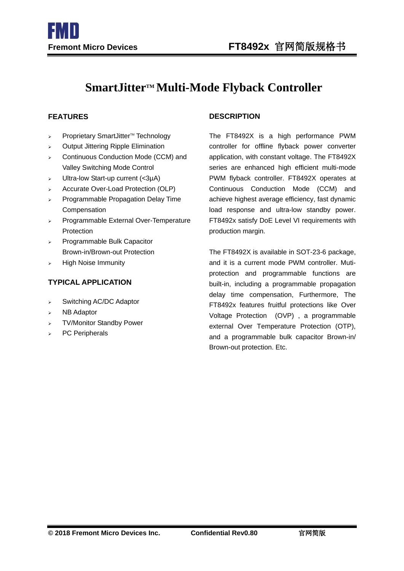# **SmartJitterTM Multi-Mode Flyback Controller**

I

- $\triangleright$  Proprietary SmartJitter<sup>M</sup> Technology
- $\triangleright$  Output Jittering Ripple Elimination
- > Continuous Conduction Mode (CCM) and Valley Switching Mode Control
- $\triangleright$  Ultra-low Start-up current (<3µA)
- > Accurate Over-Load Protection (OLP)
- $\triangleright$  Programmable Propagation Delay Time Compensation
- > Programmable External Over-Temperature Protection
- Programmable Bulk Capacitor Brown-in/Brown-out Protection
- $\triangleright$  High Noise Immunity

### **TYPICAL APPLICATION**

- $\triangleright$  Switching AC/DC Adaptor
- $>$  NB Adaptor
- > TV/Monitor Standby Power
- PC Peripherals

#### **FEATURES DESCRIPTION**

The FT8492X is a high performance PWM controller for offline flyback power converter application, with constant voltage. The FT8492X series are enhanced high efficient multi-mode PWM flyback controller. FT8492X operates at Continuous Conduction Mode (CCM) and achieve highest average efficiency, fast dynamic load response and ultra-low standby power. FT8492x satisfy DoE Level VI requirements with production margin.

The FT8492X is available in SOT-23-6 package, and it is a current mode PWM controller. Mutiprotection and programmable functions are built-in, including a programmable propagation delay time compensation, Furthermore, The FT8492x features fruitful protections like Over Voltage Protection (OVP) , a programmable external Over Temperature Protection (OTP), and a programmable bulk capacitor Brown-in/ Brown-out protection. Etc.